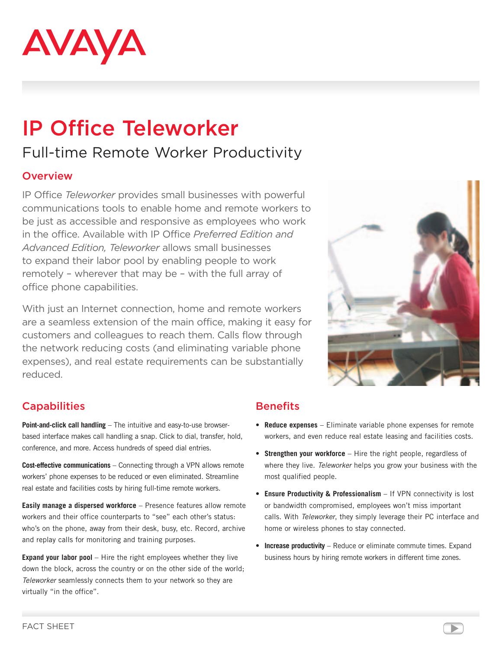

# IP Office Teleworker Full-time Remote Worker Productivity

#### **Overview**

IP Office *Teleworker* provides small businesses with powerful communications tools to enable home and remote workers to be just as accessible and responsive as employees who work in the office. Available with IP Office *Preferred Edition and Advanced Edition, Teleworker* allows small businesses to expand their labor pool by enabling people to work remotely – wherever that may be – with the full array of office phone capabilities.

With just an Internet connection, home and remote workers are a seamless extension of the main office, making it easy for customers and colleagues to reach them. Calls flow through the network reducing costs (and eliminating variable phone expenses), and real estate requirements can be substantially reduced.



## **Capabilities**

**Point-and-click call handling** – The intuitive and easy-to-use browserbased interface makes call handling a snap. Click to dial, transfer, hold, conference, and more. Access hundreds of speed dial entries.

**Cost-effective communications** – Connecting through a VPN allows remote workers' phone expenses to be reduced or even eliminated. Streamline real estate and facilities costs by hiring full-time remote workers.

**Easily manage a dispersed workforce** – Presence features allow remote workers and their office counterparts to "see" each other's status: who's on the phone, away from their desk, busy, etc. Record, archive and replay calls for monitoring and training purposes.

**Expand your labor pool** – Hire the right employees whether they live down the block, across the country or on the other side of the world; *Teleworker* seamlessly connects them to your network so they are virtually "in the office".

## **Benefits**

- • **Reduce expenses** Eliminate variable phone expenses for remote workers, and even reduce real estate leasing and facilities costs.
- **Strengthen your workforce** Hire the right people, regardless of where they live. *Teleworker* helps you grow your business with the most qualified people.
- **Ensure Productivity & Professionalism** If VPN connectivity is lost or bandwidth compromised, employees won't miss important calls. With *Teleworker*, they simply leverage their PC interface and home or wireless phones to stay connected.
- **Increase productivity** Reduce or eliminate commute times. Expand business hours by hiring remote workers in different time zones.

▶